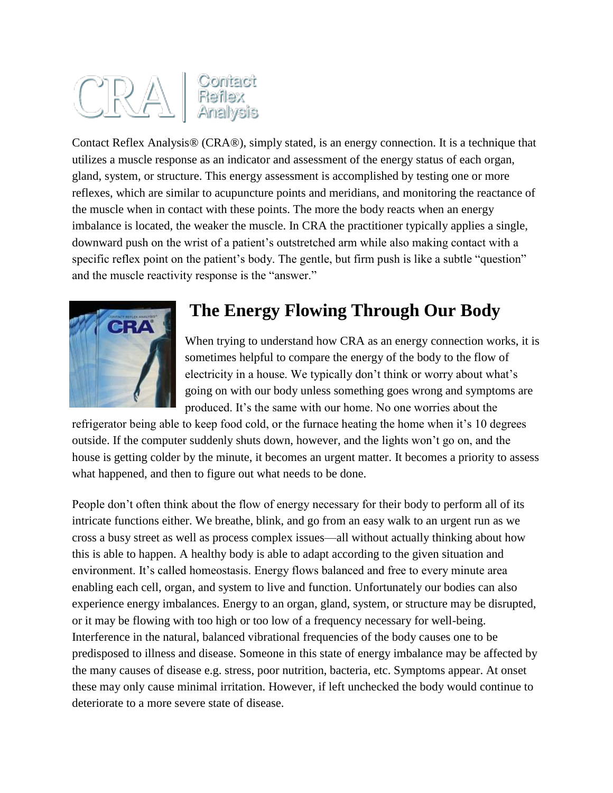# $C\mathbb{R}\mathbb{A}$  Sontact<br>Reflex<br>Analysis

Contact Reflex Analysis® (CRA®), simply stated, is an energy connection. It is a technique that utilizes a muscle response as an indicator and assessment of the energy status of each organ, gland, system, or structure. This energy assessment is accomplished by testing one or more reflexes, which are similar to acupuncture points and meridians, and monitoring the reactance of the muscle when in contact with these points. The more the body reacts when an energy imbalance is located, the weaker the muscle. In CRA the practitioner typically applies a single, downward push on the wrist of a patient's outstretched arm while also making contact with a specific reflex point on the patient's body. The gentle, but firm push is like a subtle "question" and the muscle reactivity response is the "answer."



## **The Energy Flowing Through Our Body**

When trying to understand how CRA as an energy connection works, it is sometimes helpful to compare the energy of the body to the flow of electricity in a house. We typically don't think or worry about what's going on with our body unless something goes wrong and symptoms are produced. It's the same with our home. No one worries about the

refrigerator being able to keep food cold, or the furnace heating the home when it's 10 degrees outside. If the computer suddenly shuts down, however, and the lights won't go on, and the house is getting colder by the minute, it becomes an urgent matter. It becomes a priority to assess what happened, and then to figure out what needs to be done.

People don't often think about the flow of energy necessary for their body to perform all of its intricate functions either. We breathe, blink, and go from an easy walk to an urgent run as we cross a busy street as well as process complex issues—all without actually thinking about how this is able to happen. A healthy body is able to adapt according to the given situation and environment. It's called homeostasis. Energy flows balanced and free to every minute area enabling each cell, organ, and system to live and function. Unfortunately our bodies can also experience energy imbalances. Energy to an organ, gland, system, or structure may be disrupted, or it may be flowing with too high or too low of a frequency necessary for well-being. Interference in the natural, balanced vibrational frequencies of the body causes one to be predisposed to illness and disease. Someone in this state of energy imbalance may be affected by the many causes of disease e.g. stress, poor nutrition, bacteria, etc. Symptoms appear. At onset these may only cause minimal irritation. However, if left unchecked the body would continue to deteriorate to a more severe state of disease.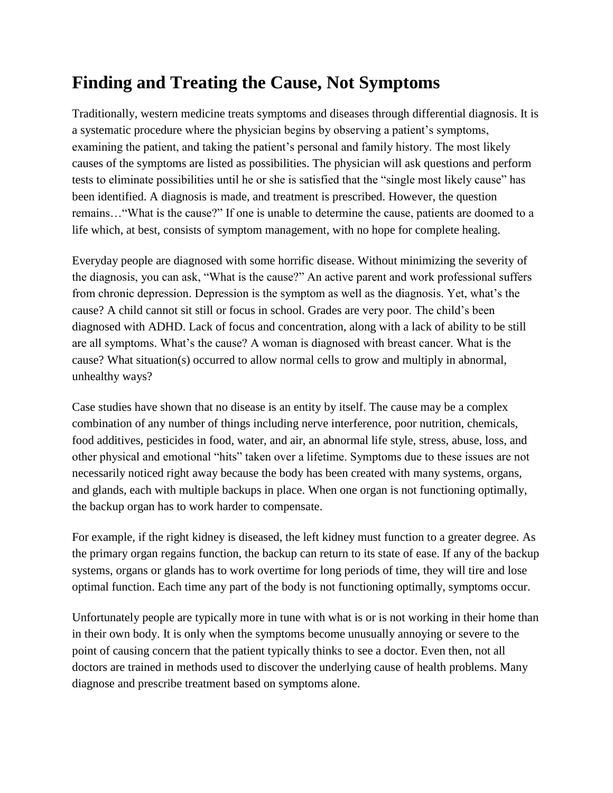## **Finding and Treating the Cause, Not Symptoms**

Traditionally, western medicine treats symptoms and diseases through differential diagnosis. It is a systematic procedure where the physician begins by observing a patient's symptoms, examining the patient, and taking the patient's personal and family history. The most likely causes of the symptoms are listed as possibilities. The physician will ask questions and perform tests to eliminate possibilities until he or she is satisfied that the "single most likely cause" has been identified. A diagnosis is made, and treatment is prescribed. However, the question remains…"What is the cause?" If one is unable to determine the cause, patients are doomed to a life which, at best, consists of symptom management, with no hope for complete healing.

Everyday people are diagnosed with some horrific disease. Without minimizing the severity of the diagnosis, you can ask, "What is the cause?" An active parent and work professional suffers from chronic depression. Depression is the symptom as well as the diagnosis. Yet, what's the cause? A child cannot sit still or focus in school. Grades are very poor. The child's been diagnosed with ADHD. Lack of focus and concentration, along with a lack of ability to be still are all symptoms. What's the cause? A woman is diagnosed with breast cancer. What is the cause? What situation(s) occurred to allow normal cells to grow and multiply in abnormal, unhealthy ways?

Case studies have shown that no disease is an entity by itself. The cause may be a complex combination of any number of things including nerve interference, poor nutrition, chemicals, food additives, pesticides in food, water, and air, an abnormal life style, stress, abuse, loss, and other physical and emotional "hits" taken over a lifetime. Symptoms due to these issues are not necessarily noticed right away because the body has been created with many systems, organs, and glands, each with multiple backups in place. When one organ is not functioning optimally, the backup organ has to work harder to compensate.

For example, if the right kidney is diseased, the left kidney must function to a greater degree. As the primary organ regains function, the backup can return to its state of ease. If any of the backup systems, organs or glands has to work overtime for long periods of time, they will tire and lose optimal function. Each time any part of the body is not functioning optimally, symptoms occur.

Unfortunately people are typically more in tune with what is or is not working in their home than in their own body. It is only when the symptoms become unusually annoying or severe to the point of causing concern that the patient typically thinks to see a doctor. Even then, not all doctors are trained in methods used to discover the underlying cause of health problems. Many diagnose and prescribe treatment based on symptoms alone.